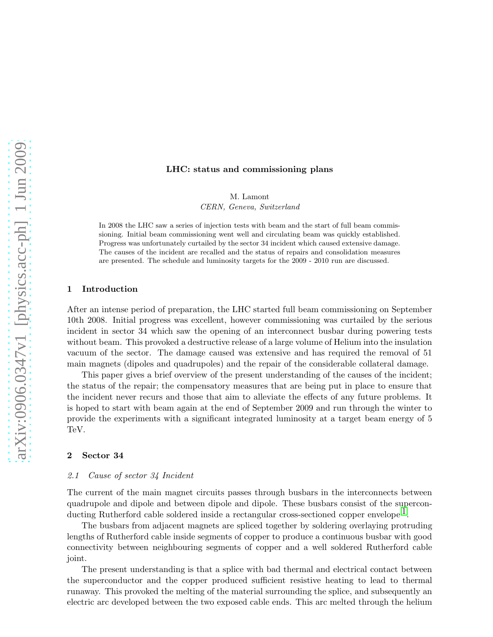#### LHC: status and commissioning plans

M. Lamont

CERN, Geneva, Switzerland

In 2008 the LHC saw a series of injection tests with beam and the start of full beam commissioning. Initial beam commissioning went well and circulating beam was quickly established. Progress was unfortunately curtailed by the sector 34 incident which caused extensive damage. The causes of the incident are recalled and the status of repairs and consolidation measures are presented. The schedule and luminosity targets for the 2009 - 2010 run are discussed.

### 1 Introduction

After an intense period of preparation, the LHC started full beam commissioning on September 10th 2008. Initial progress was excellent, however commissioning was curtailed by the serious incident in sector 34 which saw the opening of an interconnect busbar during powering tests without beam. This provoked a destructive release of a large volume of Helium into the insulation vacuum of the sector. The damage caused was extensive and has required the removal of 51 main magnets (dipoles and quadrupoles) and the repair of the considerable collateral damage.

This paper gives a brief overview of the present understanding of the causes of the incident; the status of the repair; the compensatory measures that are being put in place to ensure that the incident never recurs and those that aim to alleviate the effects of any future problems. It is hoped to start with beam again at the end of September 2009 and run through the winter to provide the experiments with a significant integrated luminosity at a target beam energy of 5 TeV.

### 2 Sector 34

#### 2.1 Cause of sector 34 Incident

The current of the main magnet circuits passes through busbars in the interconnects between quadrupole and dipole and between dipole and dipole. These busbars consist of the superconducting Rutherford cable soldered inside a rectangular cross-sectioned copper envelope<sup>1</sup>.

The busbars from adjacent magnets are spliced together by soldering overlaying protruding lengths of Rutherford cable inside segments of copper to produce a continuous busbar with good connectivity between neighbouring segments of copper and a well soldered Rutherford cable joint.

The present understanding is that a splice with bad thermal and electrical contact between the superconductor and the copper produced sufficient resistive heating to lead to thermal runaway. This provoked the melting of the material surrounding the splice, and subsequently an electric arc developed between the two exposed cable ends. This arc melted through the helium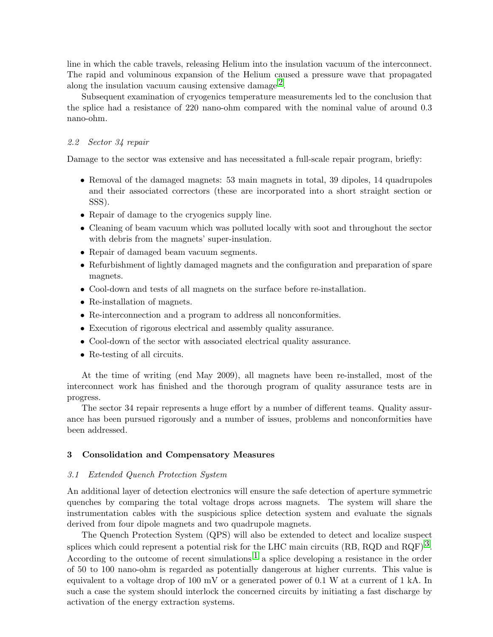line in which the cable travels, releasing Helium into the insulation vacuum of the interconnect. The rapid and voluminous expansion of the Helium caused a pressure wave that propagated along the insulation vacuum causing extensive damage<sup>2</sup>.

Subsequent examination of cryogenics temperature measurements led to the conclusion that the splice had a resistance of 220 nano-ohm compared with the nominal value of around 0.3 nano-ohm.

## 2.2 Sector 34 repair

Damage to the sector was extensive and has necessitated a full-scale repair program, briefly:

- Removal of the damaged magnets: 53 main magnets in total, 39 dipoles, 14 quadrupoles and their associated correctors (these are incorporated into a short straight section or SSS).
- Repair of damage to the cryogenics supply line.
- Cleaning of beam vacuum which was polluted locally with soot and throughout the sector with debris from the magnets' super-insulation.
- Repair of damaged beam vacuum segments.
- Refurbishment of lightly damaged magnets and the configuration and preparation of spare magnets.
- Cool-down and tests of all magnets on the surface before re-installation.
- Re-installation of magnets.
- Re-interconnection and a program to address all nonconformities.
- Execution of rigorous electrical and assembly quality assurance.
- Cool-down of the sector with associated electrical quality assurance.
- Re-testing of all circuits.

At the time of writing (end May 2009), all magnets have been re-installed, most of the interconnect work has finished and the thorough program of quality assurance tests are in progress.

The sector 34 repair represents a huge effort by a number of different teams. Quality assurance has been pursued rigorously and a number of issues, problems and nonconformities have been addressed.

## 3 Consolidation and Compensatory Measures

### 3.1 Extended Quench Protection System

An additional layer of detection electronics will ensure the safe detection of aperture symmetric quenches by comparing the total voltage drops across magnets. The system will share the instrumentation cables with the suspicious splice detection system and evaluate the signals derived from four dipole magnets and two quadrupole magnets.

The Quench Protection System (QPS) will also be extended to detect and localize suspect splices which could represent a potential risk for the LHC main circuits (RB, RQD and RQF)<sup>3</sup>. According to the outcome of recent simulations  $\frac{1}{1}$  $\frac{1}{1}$  $\frac{1}{1}$  a splice developing a resistance in the order of 50 to 100 nano-ohm is regarded as potentially dangerous at higher currents. This value is equivalent to a voltage drop of 100 mV or a generated power of 0.1 W at a current of  $1 \text{ kA}$ . In such a case the system should interlock the concerned circuits by initiating a fast discharge by activation of the energy extraction systems.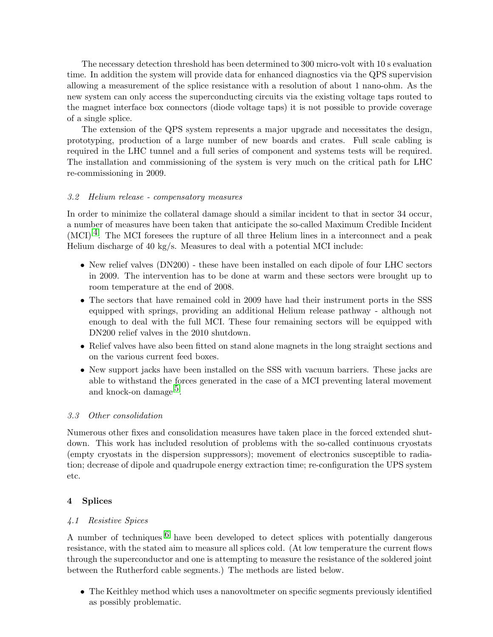The necessary detection threshold has been determined to 300 micro-volt with 10 s evaluation time. In addition the system will provide data for enhanced diagnostics via the QPS supervision allowing a measurement of the splice resistance with a resolution of about 1 nano-ohm. As the new system can only access the superconducting circuits via the existing voltage taps routed to the magnet interface box connectors (diode voltage taps) it is not possible to provide coverage of a single splice.

The extension of the QPS system represents a major upgrade and necessitates the design, prototyping, production of a large number of new boards and crates. Full scale cabling is required in the LHC tunnel and a full series of component and systems tests will be required. The installation and commissioning of the system is very much on the critical path for LHC re-commissioning in 2009.

## 3.2 Helium release - compensatory measures

In order to minimize the collateral damage should a similar incident to that in sector 34 occur, a number of measures have been taken that anticipate the so-called Maximum Credible Incident  $(MCI)^4$ . The MCI foresees the rupture of all three Helium lines in a interconnect and a peak Helium discharge of 40 kg/s. Measures to deal with a potential MCI include:

- New relief valves (DN200) these have been installed on each dipole of four LHC sectors in 2009. The intervention has to be done at warm and these sectors were brought up to room temperature at the end of 2008.
- The sectors that have remained cold in 2009 have had their instrument ports in the SSS equipped with springs, providing an additional Helium release pathway - although not enough to deal with the full MCI. These four remaining sectors will be equipped with DN200 relief valves in the 2010 shutdown.
- Relief valves have also been fitted on stand alone magnets in the long straight sections and on the various current feed boxes.
- New support jacks have been installed on the SSS with vacuum barriers. These jacks are able to withstand the forces generated in the case of a MCI preventing lateral movement and knock-on damage  $5$ .

### 3.3 Other consolidation

Numerous other fixes and consolidation measures have taken place in the forced extended shutdown. This work has included resolution of problems with the so-called continuous cryostats (empty cryostats in the dispersion suppressors); movement of electronics susceptible to radiation; decrease of dipole and quadrupole energy extraction time; re-configuration the UPS system etc.

### 4 Splices

# 4.1 Resistive Spices

A number of techniques  $\delta$  have been developed to detect splices with potentially dangerous resistance, with the stated aim to measure all splices cold. (At low temperature the current flows through the superconductor and one is attempting to measure the resistance of the soldered joint between the Rutherford cable segments.) The methods are listed below.

• The Keithley method which uses a nanovoltmeter on specific segments previously identified as possibly problematic.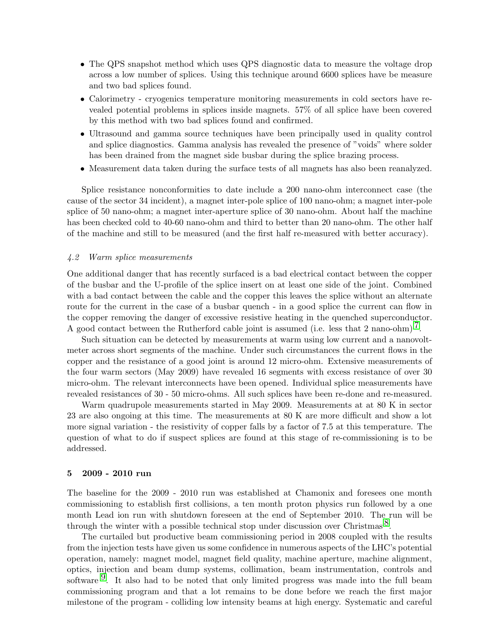- The QPS snapshot method which uses QPS diagnostic data to measure the voltage drop across a low number of splices. Using this technique around 6600 splices have be measure and two bad splices found.
- Calorimetry cryogenics temperature monitoring measurements in cold sectors have revealed potential problems in splices inside magnets. 57% of all splice have been covered by this method with two bad splices found and confirmed.
- Ultrasound and gamma source techniques have been principally used in quality control and splice diagnostics. Gamma analysis has revealed the presence of "voids" where solder has been drained from the magnet side busbar during the splice brazing process.
- Measurement data taken during the surface tests of all magnets has also been reanalyzed.

Splice resistance nonconformities to date include a 200 nano-ohm interconnect case (the cause of the sector 34 incident), a magnet inter-pole splice of 100 nano-ohm; a magnet inter-pole splice of 50 nano-ohm; a magnet inter-aperture splice of 30 nano-ohm. About half the machine has been checked cold to 40-60 nano-ohm and third to better than 20 nano-ohm. The other half of the machine and still to be measured (and the first half re-measured with better accuracy).

#### 4.2 Warm splice measurements

One additional danger that has recently surfaced is a bad electrical contact between the copper of the busbar and the U-profile of the splice insert on at least one side of the joint. Combined with a bad contact between the cable and the copper this leaves the splice without an alternate route for the current in the case of a busbar quench - in a good splice the current can flow in the copper removing the danger of excessive resistive heating in the quenched superconductor. A good contact between the Rutherford cable joint is assumed (i.e. less that 2 nano-ohm)<sup>7</sup>.

Such situation can be detected by measurements at warm using low current and a nanovoltmeter across short segments of the machine. Under such circumstances the current flows in the copper and the resistance of a good joint is around 12 micro-ohm. Extensive measurements of the four warm sectors (May 2009) have revealed 16 segments with excess resistance of over 30 micro-ohm. The relevant interconnects have been opened. Individual splice measurements have revealed resistances of 30 - 50 micro-ohms. All such splices have been re-done and re-measured.

Warm quadrupole measurements started in May 2009. Measurements at at 80 K in sector 23 are also ongoing at this time. The measurements at 80 K are more difficult and show a lot more signal variation - the resistivity of copper falls by a factor of 7.5 at this temperature. The question of what to do if suspect splices are found at this stage of re-commissioning is to be addressed.

#### 5 2009 - 2010 run

The baseline for the 2009 - 2010 run was established at Chamonix and foresees one month commissioning to establish first collisions, a ten month proton physics run followed by a one month Lead ion run with shutdown foreseen at the end of September 2010. The run will be through the winter with a possible technical stop under discussion over Christmas<sup>8</sup>.

The curtailed but productive beam commissioning period in 2008 coupled with the results from the injection tests have given us some confidence in numerous aspects of the LHC's potential operation, namely: magnet model, magnet field quality, machine aperture, machine alignment, optics, injection and beam dump systems, collimation, beam instrumentation, controls and software  $9$ . It also had to be noted that only limited progress was made into the full beam commissioning program and that a lot remains to be done before we reach the first major milestone of the program - colliding low intensity beams at high energy. Systematic and careful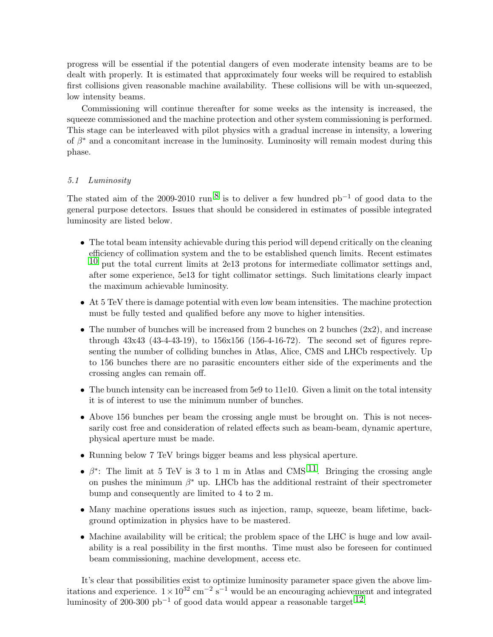progress will be essential if the potential dangers of even moderate intensity beams are to be dealt with properly. It is estimated that approximately four weeks will be required to establish first collisions given reasonable machine availability. These collisions will be with un-squeezed, low intensity beams.

Commissioning will continue thereafter for some weeks as the intensity is increased, the squeeze commissioned and the machine protection and other system commissioning is performed. This stage can be interleaved with pilot physics with a gradual increase in intensity, a lowering of  $\beta^*$  and a concomitant increase in the luminosity. Luminosity will remain modest during this phase.

## 5.1 Luminosity

The stated aim of the 2009-2010 run <sup>[8](#page-5-7)</sup> is to deliver a few hundred pb<sup>-1</sup> of good data to the general purpose detectors. Issues that should be considered in estimates of possible integrated luminosity are listed below.

- The total beam intensity achievable during this period will depend critically on the cleaning efficiency of collimation system and the to be established quench limits. Recent estimates  $10$  put the total current limits at 2e13 protons for intermediate collimator settings and, after some experience, 5e13 for tight collimator settings. Such limitations clearly impact the maximum achievable luminosity.
- At 5 TeV there is damage potential with even low beam intensities. The machine protection must be fully tested and qualified before any move to higher intensities.
- The number of bunches will be increased from 2 bunches on 2 bunches  $(2x2)$ , and increase through 43x43 (43-4-43-19), to 156x156 (156-4-16-72). The second set of figures representing the number of colliding bunches in Atlas, Alice, CMS and LHCb respectively. Up to 156 bunches there are no parasitic encounters either side of the experiments and the crossing angles can remain off.
- The bunch intensity can be increased from 5e9 to 11e10. Given a limit on the total intensity it is of interest to use the minimum number of bunches.
- Above 156 bunches per beam the crossing angle must be brought on. This is not necessarily cost free and consideration of related effects such as beam-beam, dynamic aperture, physical aperture must be made.
- Running below 7 TeV brings bigger beams and less physical aperture.
- $\beta^*$ : The limit at 5 TeV is 3 to 1 m in Atlas and CMS  $^{11}$ . Bringing the crossing angle on pushes the minimum  $\beta^*$  up. LHCb has the additional restraint of their spectrometer bump and consequently are limited to 4 to 2 m.
- Many machine operations issues such as injection, ramp, squeeze, beam lifetime, background optimization in physics have to be mastered.
- Machine availability will be critical; the problem space of the LHC is huge and low availability is a real possibility in the first months. Time must also be foreseen for continued beam commissioning, machine development, access etc.

It's clear that possibilities exist to optimize luminosity parameter space given the above limitations and experience.  $1 \times 10^{32}$  cm<sup>-2</sup> s<sup>-1</sup> would be an encouraging achievement and integrated luminosity of 200-300 pb<sup>-1</sup> of good data would appear a reasonable target  $12$ .